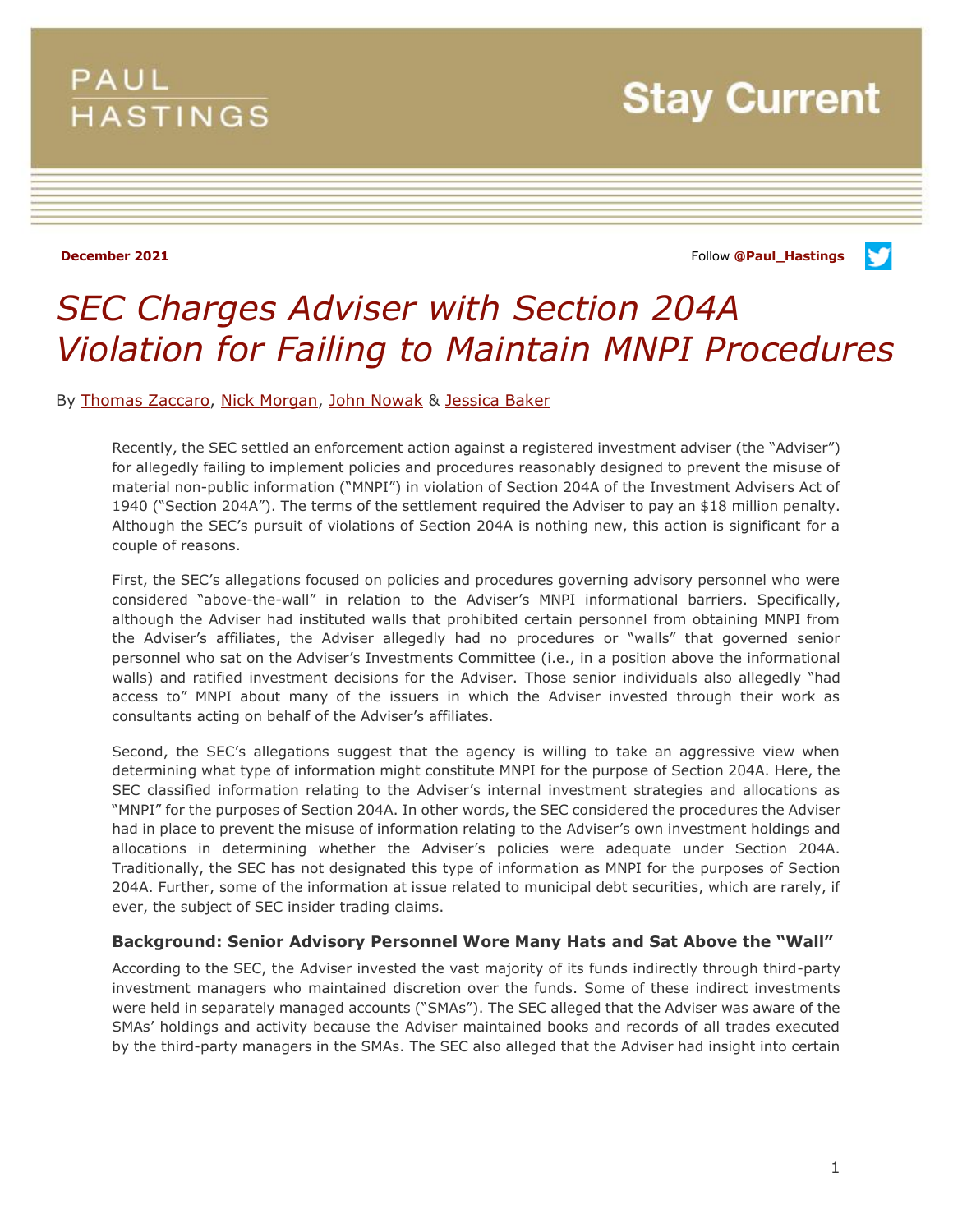# **PAUL HASTINGS**

**Stay Current** 

**December 2021 Constitution of the Constitution of the Constitution of the Constitution of the Constitution of the Constitution of the Constitution of the Constitution of the Constitution of the Constitution of the Const** 

v



By [Thomas Zaccaro,](https://preview.paulhastings.com/professionals/thomaszaccaro) [Nick Morgan,](https://preview.paulhastings.com/professionals/nicolasmorgan) [John Nowak](https://preview.paulhastings.com/professionals/johnnowak) & [Jessica Baker](https://preview.paulhastings.com/professionals/jessicabaker)

Recently, the SEC settled an enforcement action against a registered investment adviser (the "Adviser") for allegedly failing to implement policies and procedures reasonably designed to prevent the misuse of material non-public information ("MNPI") in violation of Section 204A of the Investment Advisers Act of 1940 ("Section 204A"). The terms of the settlement required the Adviser to pay an \$18 million penalty. Although the SEC's pursuit of violations of Section 204A is nothing new, this action is significant for a couple of reasons.

First, the SEC's allegations focused on policies and procedures governing advisory personnel who were considered "above-the-wall" in relation to the Adviser's MNPI informational barriers. Specifically, although the Adviser had instituted walls that prohibited certain personnel from obtaining MNPI from the Adviser's affiliates, the Adviser allegedly had no procedures or "walls" that governed senior personnel who sat on the Adviser's Investments Committee (i.e., in a position above the informational walls) and ratified investment decisions for the Adviser. Those senior individuals also allegedly "had access to" MNPI about many of the issuers in which the Adviser invested through their work as consultants acting on behalf of the Adviser's affiliates.

Second, the SEC's allegations suggest that the agency is willing to take an aggressive view when determining what type of information might constitute MNPI for the purpose of Section 204A. Here, the SEC classified information relating to the Adviser's internal investment strategies and allocations as "MNPI" for the purposes of Section 204A. In other words, the SEC considered the procedures the Adviser had in place to prevent the misuse of information relating to the Adviser's own investment holdings and allocations in determining whether the Adviser's policies were adequate under Section 204A. Traditionally, the SEC has not designated this type of information as MNPI for the purposes of Section 204A. Further, some of the information at issue related to municipal debt securities, which are rarely, if ever, the subject of SEC insider trading claims.

# **Background: Senior Advisory Personnel Wore Many Hats and Sat Above the "Wall"**

According to the SEC, the Adviser invested the vast majority of its funds indirectly through third-party investment managers who maintained discretion over the funds. Some of these indirect investments were held in separately managed accounts ("SMAs"). The SEC alleged that the Adviser was aware of the SMAs' holdings and activity because the Adviser maintained books and records of all trades executed by the third-party managers in the SMAs. The SEC also alleged that the Adviser had insight into certain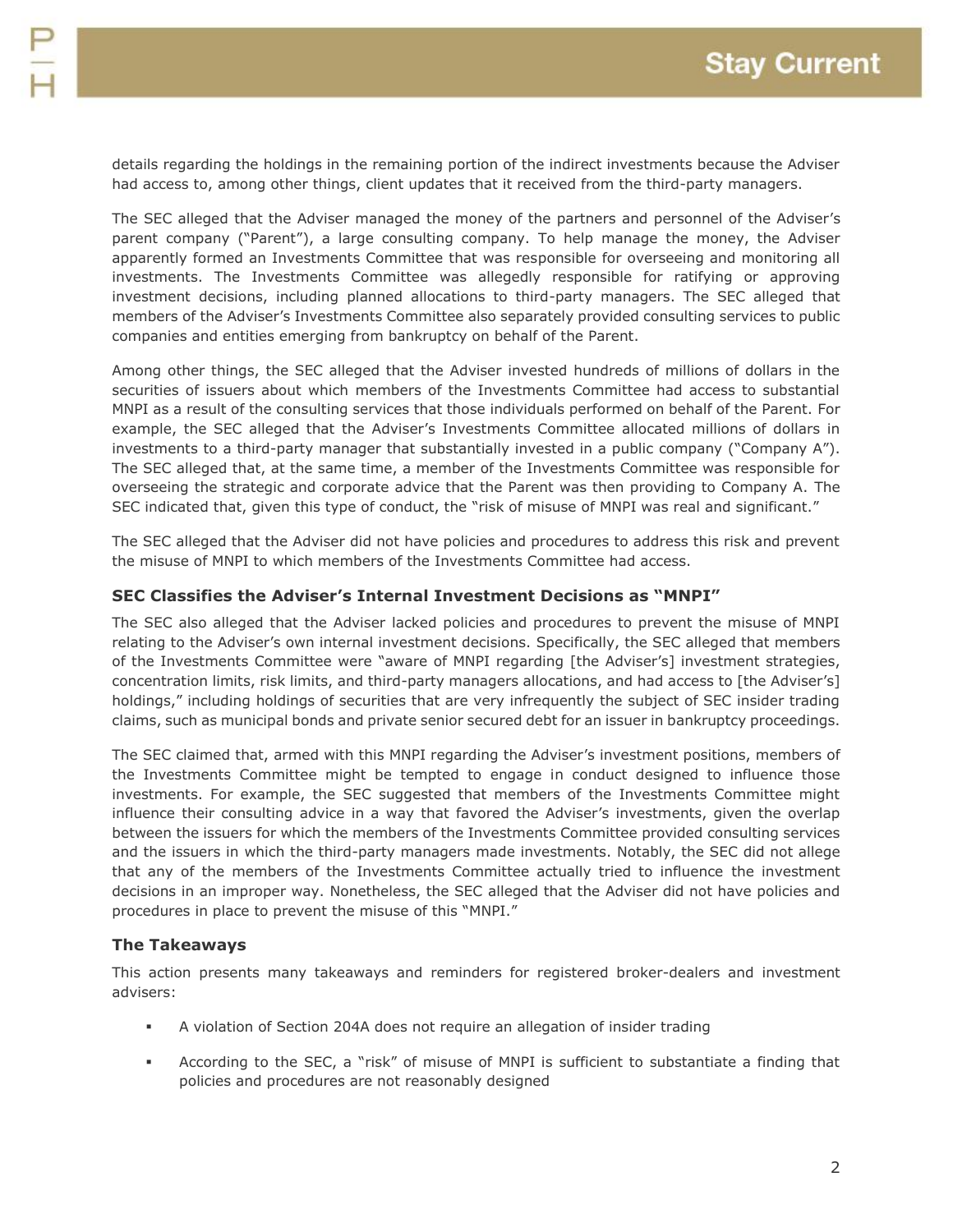details regarding the holdings in the remaining portion of the indirect investments because the Adviser had access to, among other things, client updates that it received from the third-party managers.

The SEC alleged that the Adviser managed the money of the partners and personnel of the Adviser's parent company ("Parent"), a large consulting company. To help manage the money, the Adviser apparently formed an Investments Committee that was responsible for overseeing and monitoring all investments. The Investments Committee was allegedly responsible for ratifying or approving investment decisions, including planned allocations to third-party managers. The SEC alleged that members of the Adviser's Investments Committee also separately provided consulting services to public companies and entities emerging from bankruptcy on behalf of the Parent.

Among other things, the SEC alleged that the Adviser invested hundreds of millions of dollars in the securities of issuers about which members of the Investments Committee had access to substantial MNPI as a result of the consulting services that those individuals performed on behalf of the Parent. For example, the SEC alleged that the Adviser's Investments Committee allocated millions of dollars in investments to a third-party manager that substantially invested in a public company ("Company A"). The SEC alleged that, at the same time, a member of the Investments Committee was responsible for overseeing the strategic and corporate advice that the Parent was then providing to Company A. The SEC indicated that, given this type of conduct, the "risk of misuse of MNPI was real and significant."

The SEC alleged that the Adviser did not have policies and procedures to address this risk and prevent the misuse of MNPI to which members of the Investments Committee had access.

# **SEC Classifies the Adviser's Internal Investment Decisions as "MNPI"**

The SEC also alleged that the Adviser lacked policies and procedures to prevent the misuse of MNPI relating to the Adviser's own internal investment decisions. Specifically, the SEC alleged that members of the Investments Committee were "aware of MNPI regarding [the Adviser's] investment strategies, concentration limits, risk limits, and third-party managers allocations, and had access to [the Adviser's] holdings," including holdings of securities that are very infrequently the subject of SEC insider trading claims, such as municipal bonds and private senior secured debt for an issuer in bankruptcy proceedings.

The SEC claimed that, armed with this MNPI regarding the Adviser's investment positions, members of the Investments Committee might be tempted to engage in conduct designed to influence those investments. For example, the SEC suggested that members of the Investments Committee might influence their consulting advice in a way that favored the Adviser's investments, given the overlap between the issuers for which the members of the Investments Committee provided consulting services and the issuers in which the third-party managers made investments. Notably, the SEC did not allege that any of the members of the Investments Committee actually tried to influence the investment decisions in an improper way. Nonetheless, the SEC alleged that the Adviser did not have policies and procedures in place to prevent the misuse of this "MNPI."

# **The Takeaways**

This action presents many takeaways and reminders for registered broker-dealers and investment advisers:

- A violation of Section 204A does not require an allegation of insider trading
- According to the SEC, a "risk" of misuse of MNPI is sufficient to substantiate a finding that policies and procedures are not reasonably designed